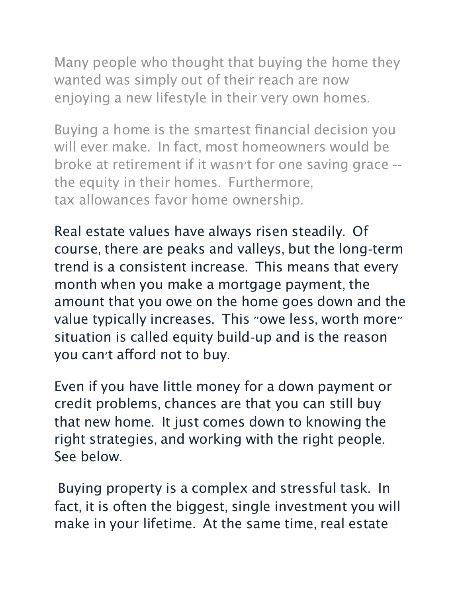Many people who thought that buying the home they wanted was simply out of their reach are now enjoying a new lifestyle in their very own homes.

Buying a home is the smartest financial decision you will ever make. In fact, most homeowners would be broke at retirement if it wasn't for one saving grace - the equity in their homes. Furthermore, tax allowances favor home ownership.

Real estate values have always risen steadily. Of course, there are peaks and valleys, but the long-term trend is a consistent increase. This means that every month when you make a mortgage payment, the amount that you owe on the home goes down and the value typically increases. This "owe less, worth more" situation is called equity build-up and is the reason you can't afford not to buy.

Even if you have little money for a down payment or credit problems, chances are that you can still buy that new home. It just comes down to knowing the right strategies, and working with the right people. See below.

Buying property is a complex and stressful task. In fact, it is often the biggest, single investment you will make in your lifetime. At the same time, real estate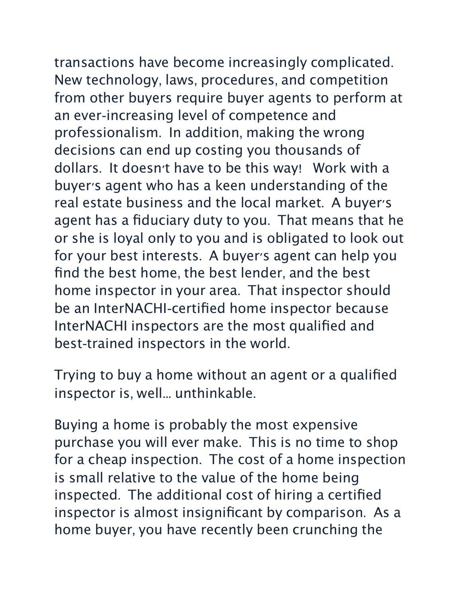transactions have become increasingly complicated. New technology, laws, procedures, and competition from other buyers require buyer agents to perform at an ever-increasing level of competence and professionalism. In addition, making the wrong decisions can end up costing you thousands of dollars. It doesn't have to be this way! Work with a buyer's agent who has a keen understanding of the real estate business and the local market. A buyer's agent has a fiduciary duty to you. That means that he or she is loyal only to you and is obligated to look out for your best interests. A buyer's agent can help you find the best home, the best lender, and the best home inspector in your area. That inspector should be an InterNACHI-certified home inspector because InterNACHI inspectors are the most qualified and best-trained inspectors in the world.

Trying to buy a home without an agent or a qualified inspector is, well... unthinkable.

Buying a home is probably the most expensive purchase you will ever make. This is no time to shop for a cheap inspection. The cost of a home inspection is small relative to the value of the home being inspected. The additional cost of hiring a certified inspector is almost insignificant by comparison. As a home buyer, you have recently been crunching the